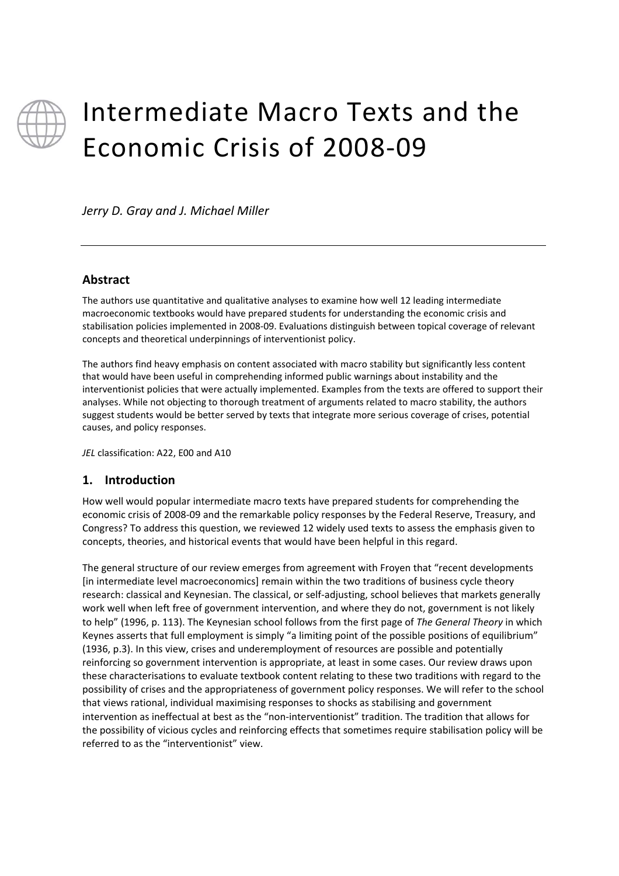

# Intermediate Macro Texts and the Economic Crisis of 2008‐09

*Jerry D. Gray and J. Michael Miller*

#### **Abstract**

The authors use quantitative and qualitative analyses to examine how well 12 leading intermediate macroeconomic textbooks would have prepared students for understanding the economic crisis and stabilisation policies implemented in 2008‐09. Evaluations distinguish between topical coverage of relevant concepts and theoretical underpinnings of interventionist policy.

The authors find heavy emphasis on content associated with macro stability but significantly less content that would have been useful in comprehending informed public warnings about instability and the interventionist policies that were actually implemented. Examples from the texts are offered to support their analyses. While not objecting to thorough treatment of arguments related to macro stability, the authors suggest students would be better served by texts that integrate more serious coverage of crises, potential causes, and policy responses.

*JEL* classification: A22, E00 and A10

## **1. Introduction**

How well would popular intermediate macro texts have prepared students for comprehending the economic crisis of 2008‐09 and the remarkable policy responses by the Federal Reserve, Treasury, and Congress? To address this question, we reviewed 12 widely used texts to assess the emphasis given to concepts, theories, and historical events that would have been helpful in this regard.

The general structure of our review emerges from agreement with Froyen that "recent developments [in intermediate level macroeconomics] remain within the two traditions of business cycle theory research: classical and Keynesian. The classical, or self‐adjusting, school believes that markets generally work well when left free of government intervention, and where they do not, government is not likely to help" (1996, p. 113). The Keynesian school follows from the first page of *The General Theory* in which Keynes asserts that full employment is simply "a limiting point of the possible positions of equilibrium" (1936, p.3). In this view, crises and underemployment of resources are possible and potentially reinforcing so government intervention is appropriate, at least in some cases. Our review draws upon these characterisations to evaluate textbook content relating to these two traditions with regard to the possibility of crises and the appropriateness of government policy responses. We will refer to the school that views rational, individual maximising responses to shocks as stabilising and government intervention as ineffectual at best as the "non-interventionist" tradition. The tradition that allows for the possibility of vicious cycles and reinforcing effects that sometimes require stabilisation policy will be referred to as the "interventionist" view.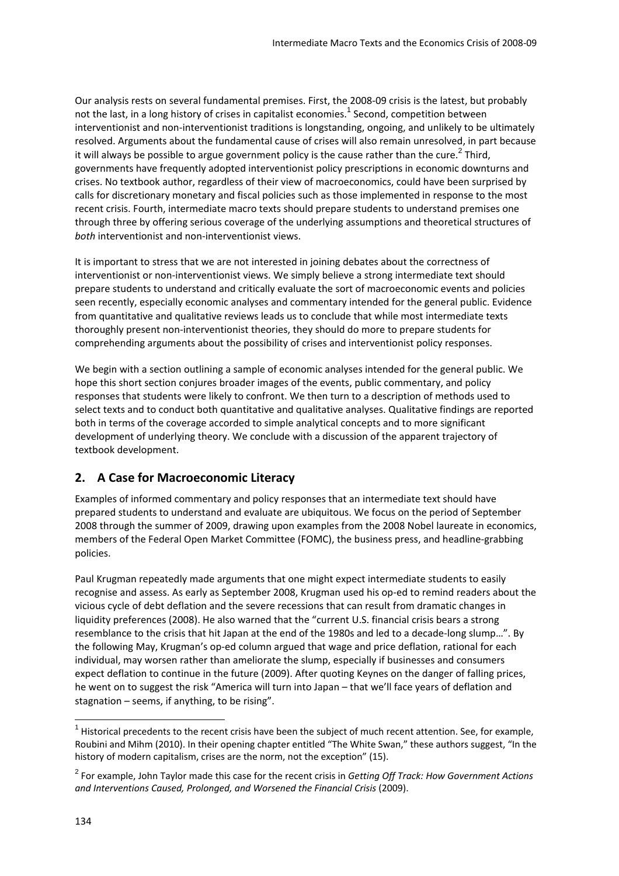Our analysis rests on several fundamental premises. First, the 2008‐09 crisis is the latest, but probably not the last, in a long history of crises in capitalist economies.<sup>1</sup> Second, competition between interventionist and non-interventionist traditions is longstanding, ongoing, and unlikely to be ultimately resolved. Arguments about the fundamental cause of crises will also remain unresolved, in part because it will always be possible to argue government policy is the cause rather than the cure.<sup>2</sup> Third, governments have frequently adopted interventionist policy prescriptions in economic downturns and crises. No textbook author, regardless of their view of macroeconomics, could have been surprised by calls for discretionary monetary and fiscal policies such as those implemented in response to the most recent crisis. Fourth, intermediate macro texts should prepare students to understand premises one through three by offering serious coverage of the underlying assumptions and theoretical structures of *both* interventionist and non‐interventionist views.

It is important to stress that we are not interested in joining debates about the correctness of interventionist or non-interventionist views. We simply believe a strong intermediate text should prepare students to understand and critically evaluate the sort of macroeconomic events and policies seen recently, especially economic analyses and commentary intended for the general public. Evidence from quantitative and qualitative reviews leads us to conclude that while most intermediate texts thoroughly present non‐interventionist theories, they should do more to prepare students for comprehending arguments about the possibility of crises and interventionist policy responses.

We begin with a section outlining a sample of economic analyses intended for the general public. We hope this short section conjures broader images of the events, public commentary, and policy responses that students were likely to confront. We then turn to a description of methods used to select texts and to conduct both quantitative and qualitative analyses. Qualitative findings are reported both in terms of the coverage accorded to simple analytical concepts and to more significant development of underlying theory. We conclude with a discussion of the apparent trajectory of textbook development.

# **2. A Case for Macroeconomic Literacy**

Examples of informed commentary and policy responses that an intermediate text should have prepared students to understand and evaluate are ubiquitous. We focus on the period of September 2008 through the summer of 2009, drawing upon examples from the 2008 Nobel laureate in economics, members of the Federal Open Market Committee (FOMC), the business press, and headline‐grabbing policies.

Paul Krugman repeatedly made arguments that one might expect intermediate students to easily recognise and assess. As early as September 2008, Krugman used his op‐ed to remind readers about the vicious cycle of debt deflation and the severe recessions that can result from dramatic changes in liquidity preferences (2008). He also warned that the "current U.S. financial crisis bears a strong resemblance to the crisis that hit Japan at the end of the 1980s and led to a decade‐long slump…". By the following May, Krugman's op‐ed column argued that wage and price deflation, rational for each individual, may worsen rather than ameliorate the slump, especially if businesses and consumers expect deflation to continue in the future (2009). After quoting Keynes on the danger of falling prices, he went on to suggest the risk "America will turn into Japan – that we'll face years of deflation and stagnation – seems, if anything, to be rising".

  $1$  Historical precedents to the recent crisis have been the subject of much recent attention. See, for example, Roubini and Mihm (2010). In their opening chapter entitled "The White Swan," these authors suggest, "In the history of modern capitalism, crises are the norm, not the exception" (15).

<sup>2</sup> For example, John Taylor made this case for the recent crisis in *Getting Off Track: How Government Actions and Interventions Caused, Prolonged, and Worsened the Financial Crisis* (2009).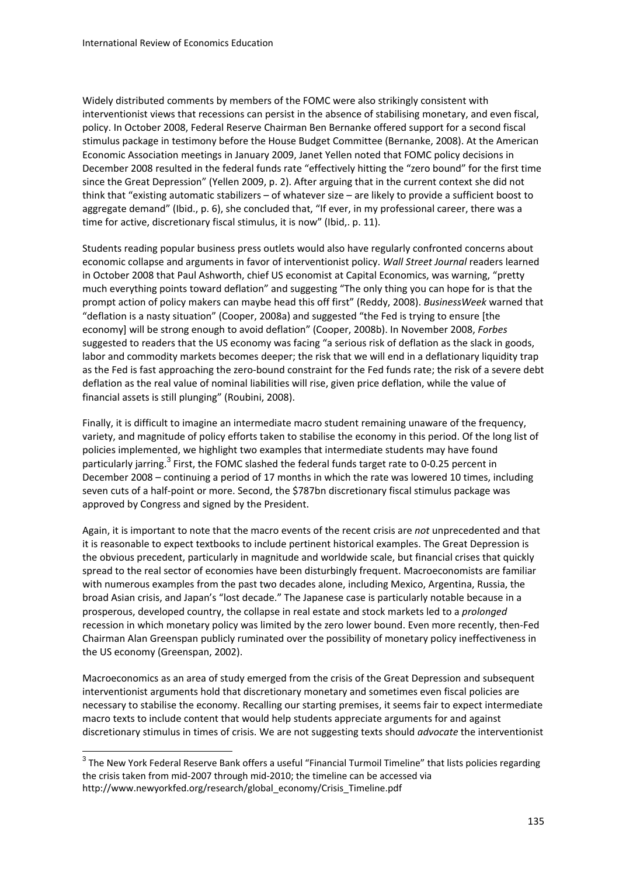Widely distributed comments by members of the FOMC were also strikingly consistent with interventionist views that recessions can persist in the absence of stabilising monetary, and even fiscal, policy. In October 2008, Federal Reserve Chairman Ben Bernanke offered support for a second fiscal stimulus package in testimony before the House Budget Committee (Bernanke, 2008). At the American Economic Association meetings in January 2009, Janet Yellen noted that FOMC policy decisions in December 2008 resulted in the federal funds rate "effectively hitting the "zero bound" for the first time since the Great Depression" (Yellen 2009, p. 2). After arguing that in the current context she did not think that "existing automatic stabilizers – of whatever size – are likely to provide a sufficient boost to aggregate demand" (Ibid., p. 6), she concluded that, "If ever, in my professional career, there was a time for active, discretionary fiscal stimulus, it is now" (Ibid,. p. 11).

Students reading popular business press outlets would also have regularly confronted concerns about economic collapse and arguments in favor of interventionist policy. *Wall Street Journal* readers learned in October 2008 that Paul Ashworth, chief US economist at Capital Economics, was warning, "pretty much everything points toward deflation" and suggesting "The only thing you can hope for is that the prompt action of policy makers can maybe head this off first" (Reddy, 2008). *BusinessWeek* warned that "deflation is a nasty situation" (Cooper, 2008a) and suggested "the Fed is trying to ensure [the economy] will be strong enough to avoid deflation" (Cooper, 2008b). In November 2008, *Forbes* suggested to readers that the US economy was facing "a serious risk of deflation as the slack in goods, labor and commodity markets becomes deeper; the risk that we will end in a deflationary liquidity trap as the Fed is fast approaching the zero-bound constraint for the Fed funds rate; the risk of a severe debt deflation as the real value of nominal liabilities will rise, given price deflation, while the value of financial assets is still plunging" (Roubini, 2008).

Finally, it is difficult to imagine an intermediate macro student remaining unaware of the frequency, variety, and magnitude of policy efforts taken to stabilise the economy in this period. Of the long list of policies implemented, we highlight two examples that intermediate students may have found particularly jarring.<sup>3</sup> First, the FOMC slashed the federal funds target rate to 0-0.25 percent in December 2008 – continuing a period of 17 months in which the rate was lowered 10 times, including seven cuts of a half-point or more. Second, the \$787bn discretionary fiscal stimulus package was approved by Congress and signed by the President.

Again, it is important to note that the macro events of the recent crisis are *not* unprecedented and that it is reasonable to expect textbooks to include pertinent historical examples. The Great Depression is the obvious precedent, particularly in magnitude and worldwide scale, but financial crises that quickly spread to the real sector of economies have been disturbingly frequent. Macroeconomists are familiar with numerous examples from the past two decades alone, including Mexico, Argentina, Russia, the broad Asian crisis, and Japan's "lost decade." The Japanese case is particularly notable because in a prosperous, developed country, the collapse in real estate and stock markets led to a *prolonged* recession in which monetary policy was limited by the zero lower bound. Even more recently, then‐Fed Chairman Alan Greenspan publicly ruminated over the possibility of monetary policy ineffectiveness in the US economy (Greenspan, 2002).

Macroeconomics as an area of study emerged from the crisis of the Great Depression and subsequent interventionist arguments hold that discretionary monetary and sometimes even fiscal policies are necessary to stabilise the economy. Recalling our starting premises, it seems fair to expect intermediate macro texts to include content that would help students appreciate arguments for and against discretionary stimulus in times of crisis. We are not suggesting texts should *advocate* the interventionist

 $3$  The New York Federal Reserve Bank offers a useful "Financial Turmoil Timeline" that lists policies regarding the crisis taken from mid‐2007 through mid‐2010; the timeline can be accessed via http://www.newyorkfed.org/research/global\_economy/Crisis\_Timeline.pdf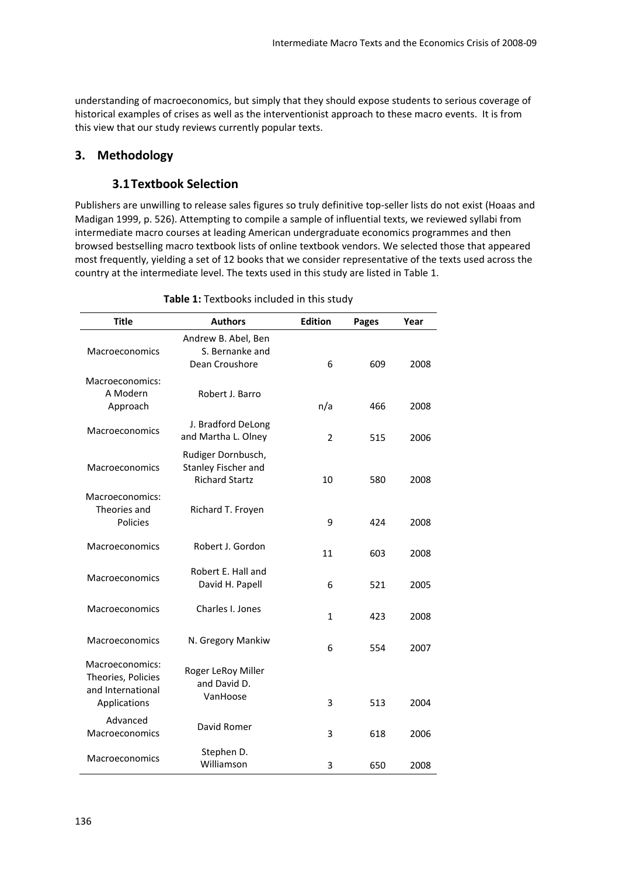understanding of macroeconomics, but simply that they should expose students to serious coverage of historical examples of crises as well as the interventionist approach to these macro events. It is from this view that our study reviews currently popular texts.

#### **3. Methodology**

#### **3.1Textbook Selection**

Publishers are unwilling to release sales figures so truly definitive top‐seller lists do not exist (Hoaas and Madigan 1999, p. 526). Attempting to compile a sample of influential texts, we reviewed syllabi from intermediate macro courses at leading American undergraduate economics programmes and then browsed bestselling macro textbook lists of online textbook vendors. We selected those that appeared most frequently, yielding a set of 12 books that we consider representative of the texts used across the country at the intermediate level. The texts used in this study are listed in Table 1.

| <b>Title</b>                                                               | <b>Authors</b>                                                     | <b>Edition</b> | <b>Pages</b> | Year |
|----------------------------------------------------------------------------|--------------------------------------------------------------------|----------------|--------------|------|
| <b>Macroeconomics</b>                                                      | Andrew B. Abel, Ben<br>S. Bernanke and<br>Dean Croushore           | 6              | 609          | 2008 |
| Macroeconomics:<br>A Modern<br>Approach                                    | Robert J. Barro                                                    | n/a            | 466          | 2008 |
| <b>Macroeconomics</b>                                                      | J. Bradford DeLong<br>and Martha L. Olney                          | 2              | 515          | 2006 |
| Macroeconomics                                                             | Rudiger Dornbusch,<br>Stanley Fischer and<br><b>Richard Startz</b> | 10             | 580          | 2008 |
| Macroeconomics:<br>Theories and<br>Policies                                | Richard T. Froyen                                                  | 9              | 424          | 2008 |
| Macroeconomics                                                             | Robert J. Gordon                                                   | 11             | 603          | 2008 |
| Macroeconomics                                                             | Robert E. Hall and<br>David H. Papell                              | 6              | 521          | 2005 |
| Macroeconomics                                                             | Charles I. Jones                                                   |                | 423          | 2008 |
| <b>Macroeconomics</b>                                                      | N. Gregory Mankiw                                                  | 6              | 554          | 2007 |
| Macroeconomics:<br>Theories, Policies<br>and International<br>Applications | Roger LeRoy Miller<br>and David D.<br>VanHoose                     | 3              | 513          | 2004 |
| Advanced<br>Macroeconomics                                                 | David Romer                                                        | 3              | 618          | 2006 |
| Macroeconomics                                                             | Stephen D.<br>Williamson                                           | 3              | 650          | 2008 |

**Table 1:** Textbooks included in this study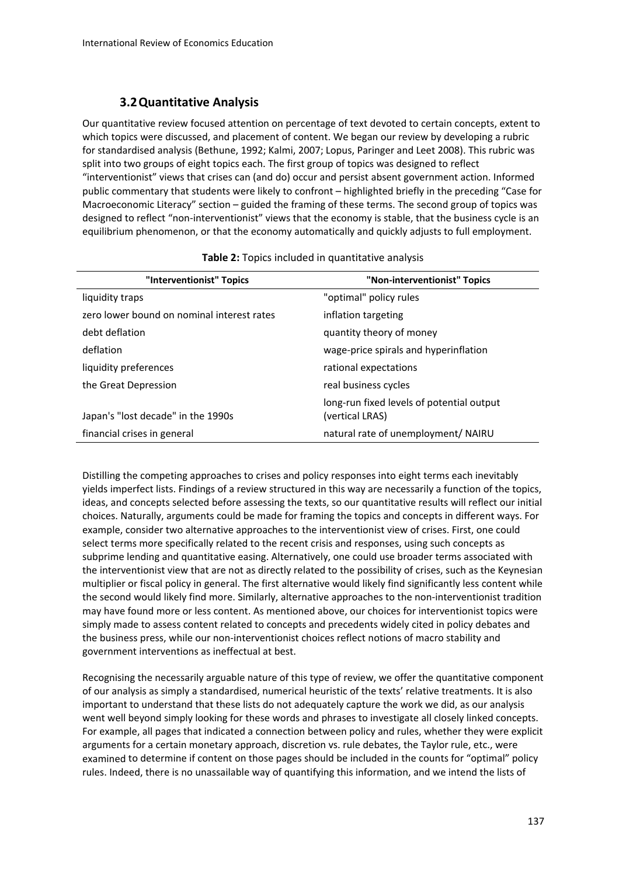## **3.2Quantitative Analysis**

Our quantitative review focused attention on percentage of text devoted to certain concepts, extent to which topics were discussed, and placement of content. We began our review by developing a rubric for standardised analysis (Bethune, 1992; Kalmi, 2007; Lopus, Paringer and Leet 2008). This rubric was split into two groups of eight topics each. The first group of topics was designed to reflect "interventionist" views that crises can (and do) occur and persist absent government action. Informed public commentary that students were likely to confront – highlighted briefly in the preceding "Case for Macroeconomic Literacy" section – guided the framing of these terms. The second group of topics was designed to reflect "non‐interventionist" views that the economy is stable, that the business cycle is an equilibrium phenomenon, or that the economy automatically and quickly adjusts to full employment.

| "Interventionist" Topics                   | "Non-interventionist" Topics                                 |
|--------------------------------------------|--------------------------------------------------------------|
| liquidity traps                            | "optimal" policy rules                                       |
| zero lower bound on nominal interest rates | inflation targeting                                          |
| debt deflation                             | quantity theory of money                                     |
| deflation                                  | wage-price spirals and hyperinflation                        |
| liquidity preferences                      | rational expectations                                        |
| the Great Depression                       | real business cycles                                         |
| Japan's "lost decade" in the 1990s         | long-run fixed levels of potential output<br>(vertical LRAS) |
| financial crises in general                | natural rate of unemployment/ NAIRU                          |

#### **Table 2:** Topics included in quantitative analysis

Distilling the competing approaches to crises and policy responses into eight terms each inevitably yields imperfect lists. Findings of a review structured in this way are necessarily a function of the topics, ideas, and concepts selected before assessing the texts, so our quantitative results will reflect our initial choices. Naturally, arguments could be made for framing the topics and concepts in different ways. For example, consider two alternative approaches to the interventionist view of crises. First, one could select terms more specifically related to the recent crisis and responses, using such concepts as subprime lending and quantitative easing. Alternatively, one could use broader terms associated with the interventionist view that are not as directly related to the possibility of crises, such as the Keynesian multiplier or fiscal policy in general. The first alternative would likely find significantly less content while the second would likely find more. Similarly, alternative approaches to the non-interventionist tradition may have found more or less content. As mentioned above, our choices for interventionist topics were simply made to assess content related to concepts and precedents widely cited in policy debates and the business press, while our non‐interventionist choices reflect notions of macro stability and government interventions as ineffectual at best.

Recognising the necessarily arguable nature of this type of review, we offer the quantitative component of our analysis as simply a standardised, numerical heuristic of the texts' relative treatments. It is also important to understand that these lists do not adequately capture the work we did, as our analysis went well beyond simply looking for these words and phrases to investigate all closely linked concepts. For example, all pages that indicated a connection between policy and rules, whether they were explicit arguments for a certain monetary approach, discretion vs. rule debates, the Taylor rule, etc., were examined to determine if content on those pages should be included in the counts for "optimal" policy rules. Indeed, there is no unassailable way of quantifying this information, and we intend the lists of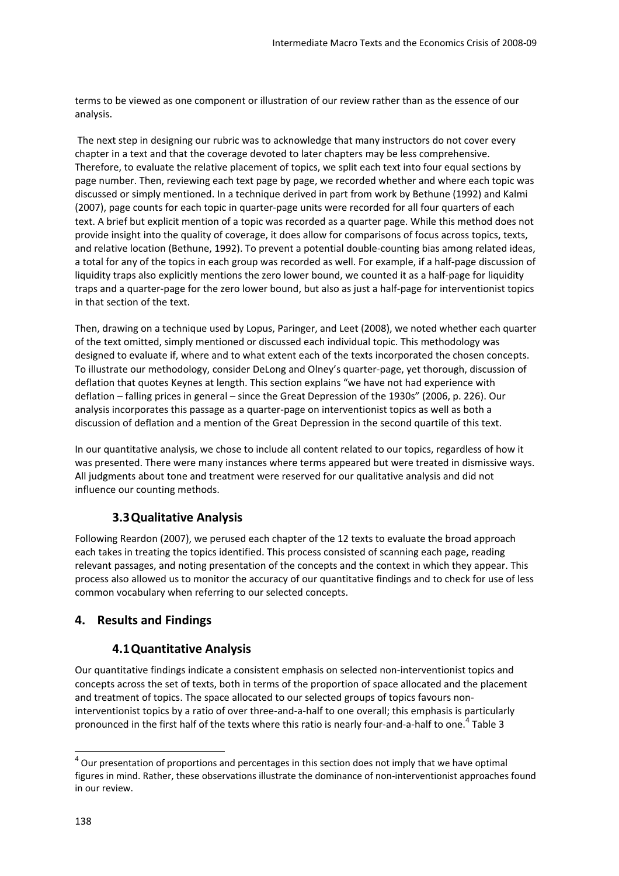terms to be viewed as one component or illustration of our review rather than as the essence of our analysis.

The next step in designing our rubric was to acknowledge that many instructors do not cover every chapter in a text and that the coverage devoted to later chapters may be less comprehensive. Therefore, to evaluate the relative placement of topics, we split each text into four equal sections by page number. Then, reviewing each text page by page, we recorded whether and where each topic was discussed or simply mentioned. In a technique derived in part from work by Bethune (1992) and Kalmi (2007), page counts for each topic in quarter‐page units were recorded for all four quarters of each text. A brief but explicit mention of a topic was recorded as a quarter page. While this method does not provide insight into the quality of coverage, it does allow for comparisons of focus across topics, texts, and relative location (Bethune, 1992). To prevent a potential double‐counting bias among related ideas, a total for any of the topics in each group was recorded as well. For example, if a half-page discussion of liquidity traps also explicitly mentions the zero lower bound, we counted it as a half‐page for liquidity traps and a quarter-page for the zero lower bound, but also as just a half-page for interventionist topics in that section of the text.

Then, drawing on a technique used by Lopus, Paringer, and Leet (2008), we noted whether each quarter of the text omitted, simply mentioned or discussed each individual topic. This methodology was designed to evaluate if, where and to what extent each of the texts incorporated the chosen concepts. To illustrate our methodology, consider DeLong and Olney's quarter‐page, yet thorough, discussion of deflation that quotes Keynes at length. This section explains "we have not had experience with deflation – falling prices in general – since the Great Depression of the 1930s" (2006, p. 226). Our analysis incorporates this passage as a quarter-page on interventionist topics as well as both a discussion of deflation and a mention of the Great Depression in the second quartile of this text.

In our quantitative analysis, we chose to include all content related to our topics, regardless of how it was presented. There were many instances where terms appeared but were treated in dismissive ways. All judgments about tone and treatment were reserved for our qualitative analysis and did not influence our counting methods.

# **3.3Qualitative Analysis**

Following Reardon (2007), we perused each chapter of the 12 texts to evaluate the broad approach each takes in treating the topics identified. This process consisted of scanning each page, reading relevant passages, and noting presentation of the concepts and the context in which they appear. This process also allowed us to monitor the accuracy of our quantitative findings and to check for use of less common vocabulary when referring to our selected concepts.

# **4. Results and Findings**

## **4.1Quantitative Analysis**

Our quantitative findings indicate a consistent emphasis on selected non‐interventionist topics and concepts across the set of texts, both in terms of the proportion of space allocated and the placement and treatment of topics. The space allocated to our selected groups of topics favours non‐ interventionist topics by a ratio of over three-and-a-half to one overall; this emphasis is particularly pronounced in the first half of the texts where this ratio is nearly four-and-a-half to one.<sup>4</sup> Table 3

 $4$  Our presentation of proportions and percentages in this section does not imply that we have optimal figures in mind. Rather, these observations illustrate the dominance of non-interventionist approaches found in our review.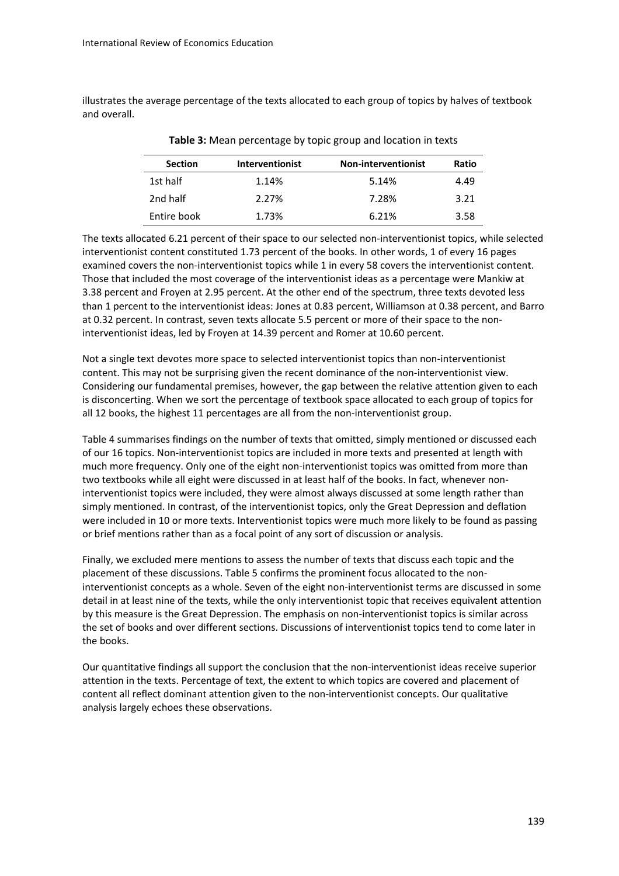illustrates the average percentage of the texts allocated to each group of topics by halves of textbook and overall.

| <b>Section</b> | <b>Interventionist</b> | <b>Non-interventionist</b> | Ratio |
|----------------|------------------------|----------------------------|-------|
| 1st half       | 1.14%                  | 5.14%                      | 4.49  |
| 2nd half       | 2.27%                  | 7.28%                      | 3.21  |
| Entire book    | 1.73%                  | 6.21%                      | 3.58  |

**Table 3:** Mean percentage by topic group and location in texts

The texts allocated 6.21 percent of their space to our selected non‐interventionist topics, while selected interventionist content constituted 1.73 percent of the books. In other words, 1 of every 16 pages examined covers the non-interventionist topics while 1 in every 58 covers the interventionist content. Those that included the most coverage of the interventionist ideas as a percentage were Mankiw at 3.38 percent and Froyen at 2.95 percent. At the other end of the spectrum, three texts devoted less than 1 percent to the interventionist ideas: Jones at 0.83 percent, Williamson at 0.38 percent, and Barro at 0.32 percent. In contrast, seven texts allocate 5.5 percent or more of their space to the non‐ interventionist ideas, led by Froyen at 14.39 percent and Romer at 10.60 percent.

Not a single text devotes more space to selected interventionist topics than non‐interventionist content. This may not be surprising given the recent dominance of the non-interventionist view. Considering our fundamental premises, however, the gap between the relative attention given to each is disconcerting. When we sort the percentage of textbook space allocated to each group of topics for all 12 books, the highest 11 percentages are all from the non-interventionist group.

Table 4 summarises findings on the number of texts that omitted, simply mentioned or discussed each of our 16 topics. Non‐interventionist topics are included in more texts and presented at length with much more frequency. Only one of the eight non-interventionist topics was omitted from more than two textbooks while all eight were discussed in at least half of the books. In fact, whenever non‐ interventionist topics were included, they were almost always discussed at some length rather than simply mentioned. In contrast, of the interventionist topics, only the Great Depression and deflation were included in 10 or more texts. Interventionist topics were much more likely to be found as passing or brief mentions rather than as a focal point of any sort of discussion or analysis.

Finally, we excluded mere mentions to assess the number of texts that discuss each topic and the placement of these discussions. Table 5 confirms the prominent focus allocated to the noninterventionist concepts as a whole. Seven of the eight non‐interventionist terms are discussed in some detail in at least nine of the texts, while the only interventionist topic that receives equivalent attention by this measure is the Great Depression. The emphasis on non-interventionist topics is similar across the set of books and over different sections. Discussions of interventionist topics tend to come later in the books.

Our quantitative findings all support the conclusion that the non‐interventionist ideas receive superior attention in the texts. Percentage of text, the extent to which topics are covered and placement of content all reflect dominant attention given to the non-interventionist concepts. Our qualitative analysis largely echoes these observations.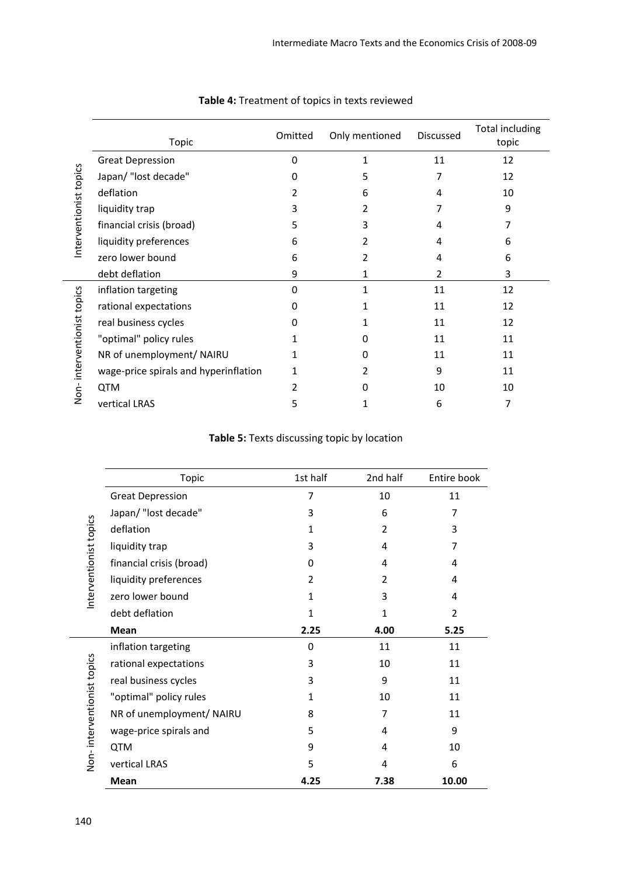| Interventionist topics     | Topic                                 | Omitted | Only mentioned | Discussed     | <b>Total including</b><br>topic |
|----------------------------|---------------------------------------|---------|----------------|---------------|---------------------------------|
|                            | <b>Great Depression</b>               | 0       | 1              | 11            | 12                              |
|                            | Japan/ "lost decade"                  | 0       |                | 7             | 12                              |
|                            | deflation                             |         | 6              | 4             | 10                              |
|                            | liquidity trap                        | 3       |                |               | 9                               |
|                            | financial crisis (broad)              | 5       |                | 4             |                                 |
|                            | liquidity preferences                 | 6       |                | 4             | 6                               |
|                            | zero lower bound                      | 6       | $\overline{2}$ | 4             | 6                               |
|                            | debt deflation                        | 9       | 1              | $\mathcal{P}$ | 3                               |
| Non-interventionist topics | inflation targeting                   | 0       | 1              | 11            | 12                              |
|                            | rational expectations                 | O       |                | 11            | 12                              |
|                            | real business cycles                  | 0       |                | 11            | 12                              |
|                            | "optimal" policy rules                |         | 0              | 11            | 11                              |
|                            | NR of unemployment/ NAIRU             |         | 0              | 11            | 11                              |
|                            | wage-price spirals and hyperinflation |         |                | 9             | 11                              |
|                            | <b>QTM</b>                            |         | O              | 10            | 10                              |
|                            | vertical LRAS                         | 5       |                | 6             | 7                               |

#### **Table 4:** Treatment of topics in texts reviewed

## **Table 5:** Texts discussing topic by location

|                            | <b>Topic</b>              | 1st half     | 2nd half | Entire book    |
|----------------------------|---------------------------|--------------|----------|----------------|
| nterventionist topics      | <b>Great Depression</b>   | 7            | 10       | 11             |
|                            | Japan/ "lost decade"      | 3            | 6        | 7              |
|                            | deflation                 | $\mathbf{1}$ | 2        | 3              |
|                            | liquidity trap            | 3            | 4        | 7              |
|                            | financial crisis (broad)  | 0            | 4        | 4              |
|                            | liquidity preferences     | 2            | 2        | 4              |
|                            | zero lower bound          | $\mathbf{1}$ | 3        | 4              |
|                            | debt deflation            | 1            | 1        | $\overline{2}$ |
|                            | Mean                      | 2.25         | 4.00     | 5.25           |
| Non-interventionist topics | inflation targeting       | 0            | 11       | 11             |
|                            | rational expectations     | 3            | 10       | 11             |
|                            | real business cycles      | 3            | 9        | 11             |
|                            | "optimal" policy rules    | $\mathbf{1}$ | 10       | 11             |
|                            | NR of unemployment/ NAIRU | 8            | 7        | 11             |
|                            | wage-price spirals and    | 5            | 4        | 9              |
|                            | <b>QTM</b>                | 9            | 4        | 10             |
|                            | vertical LRAS             | 5            | 4        | 6              |
|                            | Mean                      | 4.25         | 7.38     | 10.00          |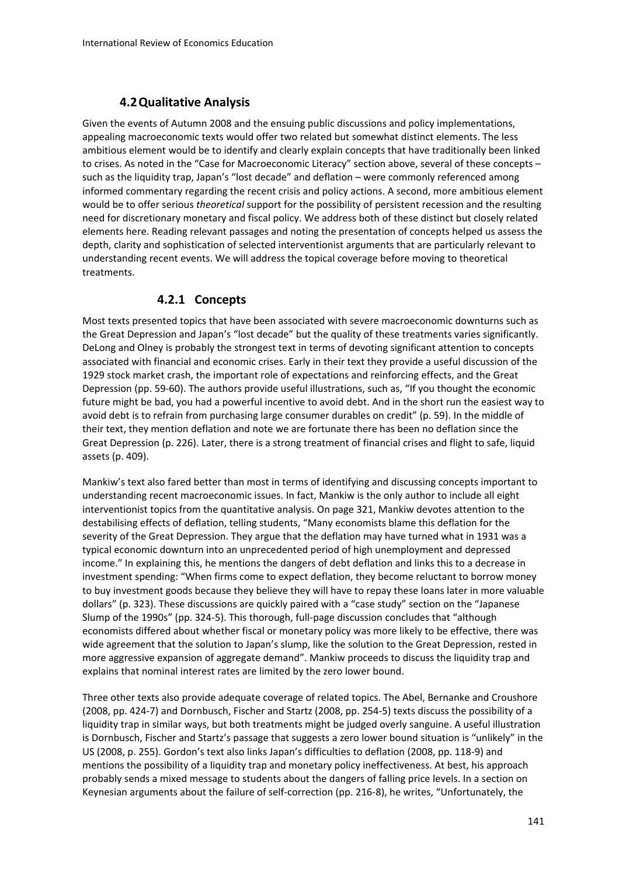# **4.2Qualitative Analysis**

Given the events of Autumn 2008 and the ensuing public discussions and policy implementations, appealing macroeconomic texts would offer two related but somewhat distinct elements. The less ambitious element would be to identify and clearly explain concepts that have traditionally been linked to crises. As noted in the "Case for Macroeconomic Literacy" section above, several of these concepts – such as the liquidity trap, Japan's "lost decade" and deflation – were commonly referenced among informed commentary regarding the recent crisis and policy actions. A second, more ambitious element would be to offer serious *theoretical* support for the possibility of persistent recession and the resulting need for discretionary monetary and fiscal policy. We address both of these distinct but closely related elements here. Reading relevant passages and noting the presentation of concepts helped us assess the depth, clarity and sophistication of selected interventionist arguments that are particularly relevant to understanding recent events. We will address the topical coverage before moving to theoretical treatments.

# **4.2.1 Concepts**

Most texts presented topics that have been associated with severe macroeconomic downturns such as the Great Depression and Japan's "lost decade" but the quality of these treatments varies significantly. DeLong and Olney is probably the strongest text in terms of devoting significant attention to concepts associated with financial and economic crises. Early in their text they provide a useful discussion of the 1929 stock market crash, the important role of expectations and reinforcing effects, and the Great Depression (pp. 59‐60). The authors provide useful illustrations, such as, "If you thought the economic future might be bad, you had a powerful incentive to avoid debt. And in the short run the easiest way to avoid debt is to refrain from purchasing large consumer durables on credit" (p. 59). In the middle of their text, they mention deflation and note we are fortunate there has been no deflation since the Great Depression (p. 226). Later, there is a strong treatment of financial crises and flight to safe, liquid assets (p. 409).

Mankiw's text also fared better than most in terms of identifying and discussing concepts important to understanding recent macroeconomic issues. In fact, Mankiw is the only author to include all eight interventionist topics from the quantitative analysis. On page 321, Mankiw devotes attention to the destabilising effects of deflation, telling students, "Many economists blame this deflation for the severity of the Great Depression. They argue that the deflation may have turned what in 1931 was a typical economic downturn into an unprecedented period of high unemployment and depressed income." In explaining this, he mentions the dangers of debt deflation and links this to a decrease in investment spending: "When firms come to expect deflation, they become reluctant to borrow money to buy investment goods because they believe they will have to repay these loans later in more valuable dollars" (p. 323). These discussions are quickly paired with a "case study" section on the "Japanese Slump of the 1990s" (pp. 324‐5). This thorough, full‐page discussion concludes that "although economists differed about whether fiscal or monetary policy was more likely to be effective, there was wide agreement that the solution to Japan's slump, like the solution to the Great Depression, rested in more aggressive expansion of aggregate demand". Mankiw proceeds to discuss the liquidity trap and explains that nominal interest rates are limited by the zero lower bound.

Three other texts also provide adequate coverage of related topics. The Abel, Bernanke and Croushore (2008, pp. 424‐7) and Dornbusch, Fischer and Startz (2008, pp. 254‐5) texts discuss the possibility of a liquidity trap in similar ways, but both treatments might be judged overly sanguine. A useful illustration is Dornbusch, Fischer and Startz's passage that suggests a zero lower bound situation is "unlikely" in the US (2008, p. 255). Gordon's text also links Japan's difficulties to deflation (2008, pp. 118‐9) and mentions the possibility of a liquidity trap and monetary policy ineffectiveness. At best, his approach probably sends a mixed message to students about the dangers of falling price levels. In a section on Keynesian arguments about the failure of self‐correction (pp. 216‐8), he writes, "Unfortunately, the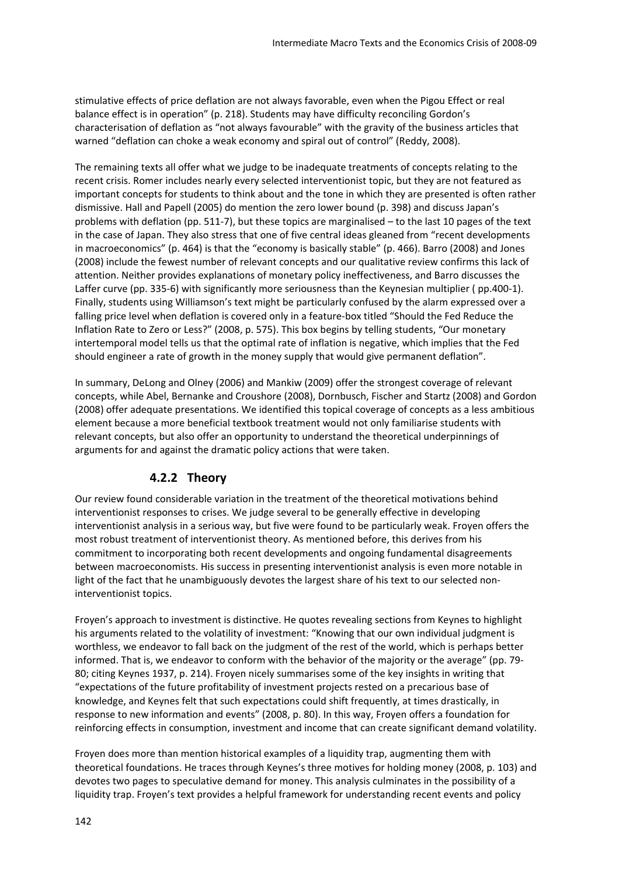stimulative effects of price deflation are not always favorable, even when the Pigou Effect or real balance effect is in operation" (p. 218). Students may have difficulty reconciling Gordon's characterisation of deflation as "not always favourable" with the gravity of the business articles that warned "deflation can choke a weak economy and spiral out of control" (Reddy, 2008).

The remaining texts all offer what we judge to be inadequate treatments of concepts relating to the recent crisis. Romer includes nearly every selected interventionist topic, but they are not featured as important concepts for students to think about and the tone in which they are presented is often rather dismissive. Hall and Papell (2005) do mention the zero lower bound (p. 398) and discuss Japan's problems with deflation (pp. 511‐7), but these topics are marginalised – to the last 10 pages of the text in the case of Japan. They also stress that one of five central ideas gleaned from "recent developments in macroeconomics" (p. 464) is that the "economy is basically stable" (p. 466). Barro (2008) and Jones (2008) include the fewest number of relevant concepts and our qualitative review confirms this lack of attention. Neither provides explanations of monetary policy ineffectiveness, and Barro discusses the Laffer curve (pp. 335-6) with significantly more seriousness than the Keynesian multiplier (pp.400-1). Finally, students using Williamson's text might be particularly confused by the alarm expressed over a falling price level when deflation is covered only in a feature‐box titled "Should the Fed Reduce the Inflation Rate to Zero or Less?" (2008, p. 575). This box begins by telling students, "Our monetary intertemporal model tells us that the optimal rate of inflation is negative, which implies that the Fed should engineer a rate of growth in the money supply that would give permanent deflation".

In summary, DeLong and Olney (2006) and Mankiw (2009) offer the strongest coverage of relevant concepts, while Abel, Bernanke and Croushore (2008), Dornbusch, Fischer and Startz (2008) and Gordon (2008) offer adequate presentations. We identified this topical coverage of concepts as a less ambitious element because a more beneficial textbook treatment would not only familiarise students with relevant concepts, but also offer an opportunity to understand the theoretical underpinnings of arguments for and against the dramatic policy actions that were taken.

# **4.2.2 Theory**

Our review found considerable variation in the treatment of the theoretical motivations behind interventionist responses to crises. We judge several to be generally effective in developing interventionist analysis in a serious way, but five were found to be particularly weak. Froyen offers the most robust treatment of interventionist theory. As mentioned before, this derives from his commitment to incorporating both recent developments and ongoing fundamental disagreements between macroeconomists. His success in presenting interventionist analysis is even more notable in light of the fact that he unambiguously devotes the largest share of his text to our selected noninterventionist topics.

Froyen's approach to investment is distinctive. He quotes revealing sections from Keynes to highlight his arguments related to the volatility of investment: "Knowing that our own individual judgment is worthless, we endeavor to fall back on the judgment of the rest of the world, which is perhaps better informed. That is, we endeavor to conform with the behavior of the majority or the average" (pp. 79‐ 80; citing Keynes 1937, p. 214). Froyen nicely summarises some of the key insights in writing that "expectations of the future profitability of investment projects rested on a precarious base of knowledge, and Keynes felt that such expectations could shift frequently, at times drastically, in response to new information and events" (2008, p. 80). In this way, Froyen offers a foundation for reinforcing effects in consumption, investment and income that can create significant demand volatility.

Froyen does more than mention historical examples of a liquidity trap, augmenting them with theoretical foundations. He traces through Keynes's three motives for holding money (2008, p. 103) and devotes two pages to speculative demand for money. This analysis culminates in the possibility of a liquidity trap. Froyen's text provides a helpful framework for understanding recent events and policy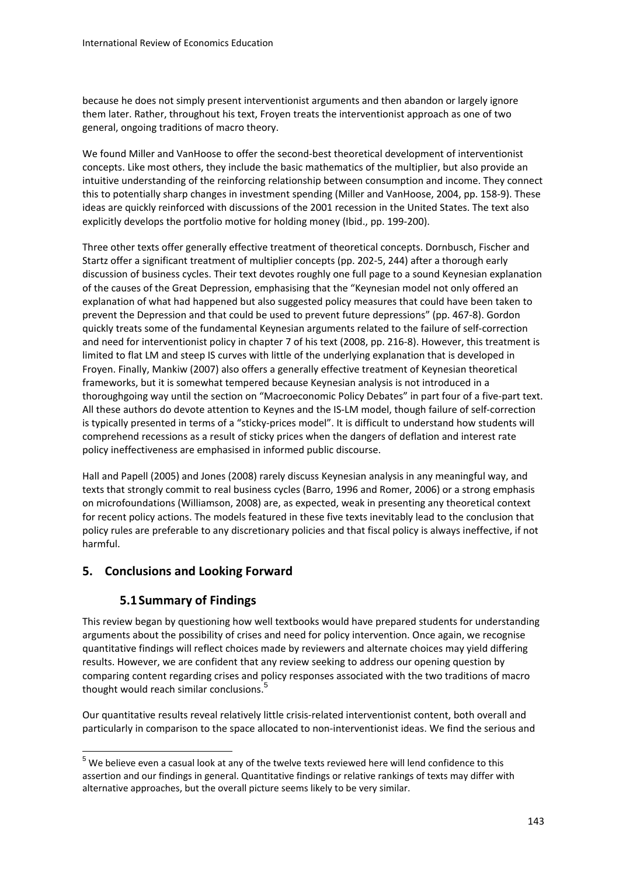because he does not simply present interventionist arguments and then abandon or largely ignore them later. Rather, throughout his text, Froyen treats the interventionist approach as one of two general, ongoing traditions of macro theory.

We found Miller and VanHoose to offer the second-best theoretical development of interventionist concepts. Like most others, they include the basic mathematics of the multiplier, but also provide an intuitive understanding of the reinforcing relationship between consumption and income. They connect this to potentially sharp changes in investment spending (Miller and VanHoose, 2004, pp. 158‐9). These ideas are quickly reinforced with discussions of the 2001 recession in the United States. The text also explicitly develops the portfolio motive for holding money (Ibid., pp. 199‐200).

Three other texts offer generally effective treatment of theoretical concepts. Dornbusch, Fischer and Startz offer a significant treatment of multiplier concepts (pp. 202‐5, 244) after a thorough early discussion of business cycles. Their text devotes roughly one full page to a sound Keynesian explanation of the causes of the Great Depression, emphasising that the "Keynesian model not only offered an explanation of what had happened but also suggested policy measures that could have been taken to prevent the Depression and that could be used to prevent future depressions" (pp. 467‐8). Gordon quickly treats some of the fundamental Keynesian arguments related to the failure of self‐correction and need for interventionist policy in chapter 7 of his text (2008, pp. 216-8). However, this treatment is limited to flat LM and steep IS curves with little of the underlying explanation that is developed in Froyen. Finally, Mankiw (2007) also offers a generally effective treatment of Keynesian theoretical frameworks, but it is somewhat tempered because Keynesian analysis is not introduced in a thoroughgoing way until the section on "Macroeconomic Policy Debates" in part four of a five‐part text. All these authors do devote attention to Keynes and the IS‐LM model, though failure of self‐correction is typically presented in terms of a "sticky‐prices model". It is difficult to understand how students will comprehend recessions as a result of sticky prices when the dangers of deflation and interest rate policy ineffectiveness are emphasised in informed public discourse.

Hall and Papell (2005) and Jones (2008) rarely discuss Keynesian analysis in any meaningful way, and texts that strongly commit to real business cycles (Barro, 1996 and Romer, 2006) or a strong emphasis on microfoundations (Williamson, 2008) are, as expected, weak in presenting any theoretical context for recent policy actions. The models featured in these five texts inevitably lead to the conclusion that policy rules are preferable to any discretionary policies and that fiscal policy is always ineffective, if not harmful.

## **5. Conclusions and Looking Forward**

# **5.1Summary of Findings**

This review began by questioning how well textbooks would have prepared students for understanding arguments about the possibility of crises and need for policy intervention. Once again, we recognise quantitative findings will reflect choices made by reviewers and alternate choices may yield differing results. However, we are confident that any review seeking to address our opening question by comparing content regarding crises and policy responses associated with the two traditions of macro thought would reach similar conclusions.<sup>5</sup>

Our quantitative results reveal relatively little crisis‐related interventionist content, both overall and particularly in comparison to the space allocated to non-interventionist ideas. We find the serious and

 $5$  We believe even a casual look at any of the twelve texts reviewed here will lend confidence to this assertion and our findings in general. Quantitative findings or relative rankings of texts may differ with alternative approaches, but the overall picture seems likely to be very similar.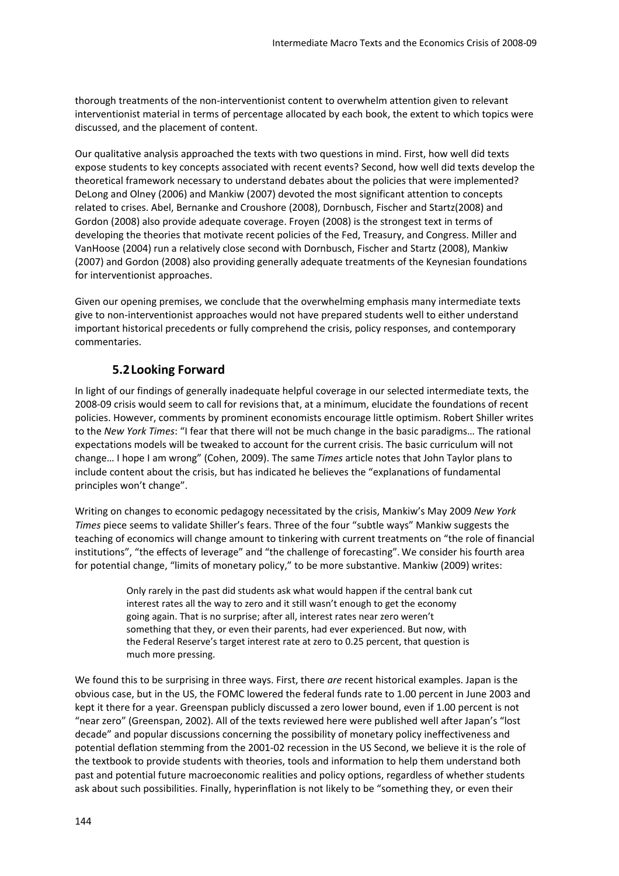thorough treatments of the non‐interventionist content to overwhelm attention given to relevant interventionist material in terms of percentage allocated by each book, the extent to which topics were discussed, and the placement of content.

Our qualitative analysis approached the texts with two questions in mind. First, how well did texts expose students to key concepts associated with recent events? Second, how well did texts develop the theoretical framework necessary to understand debates about the policies that were implemented? DeLong and Olney (2006) and Mankiw (2007) devoted the most significant attention to concepts related to crises. Abel, Bernanke and Croushore (2008), Dornbusch, Fischer and Startz(2008) and Gordon (2008) also provide adequate coverage. Froyen (2008) is the strongest text in terms of developing the theories that motivate recent policies of the Fed, Treasury, and Congress. Miller and VanHoose (2004) run a relatively close second with Dornbusch, Fischer and Startz (2008), Mankiw (2007) and Gordon (2008) also providing generally adequate treatments of the Keynesian foundations for interventionist approaches.

Given our opening premises, we conclude that the overwhelming emphasis many intermediate texts give to non‐interventionist approaches would not have prepared students well to either understand important historical precedents or fully comprehend the crisis, policy responses, and contemporary commentaries.

# **5.2Looking Forward**

In light of our findings of generally inadequate helpful coverage in our selected intermediate texts, the 2008‐09 crisis would seem to call for revisions that, at a minimum, elucidate the foundations of recent policies. However, comments by prominent economists encourage little optimism. Robert Shiller writes to the *New York Times*: "I fear that there will not be much change in the basic paradigms… The rational expectations models will be tweaked to account for the current crisis. The basic curriculum will not change… I hope I am wrong" (Cohen, 2009). The same *Times* article notes that John Taylor plans to include content about the crisis, but has indicated he believes the "explanations of fundamental principles won't change".

Writing on changes to economic pedagogy necessitated by the crisis, Mankiw's May 2009 *New York Times* piece seems to validate Shiller's fears. Three of the four "subtle ways" Mankiw suggests the teaching of economics will change amount to tinkering with current treatments on "the role of financial institutions", "the effects of leverage" and "the challenge of forecasting".We consider his fourth area for potential change, "limits of monetary policy," to be more substantive. Mankiw (2009) writes:

> Only rarely in the past did students ask what would happen if the central bank cut interest rates all the way to zero and it still wasn't enough to get the economy going again. That is no surprise; after all, interest rates near zero weren't something that they, or even their parents, had ever experienced. But now, with the Federal Reserve's target interest rate at zero to 0.25 percent, that question is much more pressing.

We found this to be surprising in three ways. First, there *are* recent historical examples. Japan is the obvious case, but in the US, the FOMC lowered the federal funds rate to 1.00 percent in June 2003 and kept it there for a year. Greenspan publicly discussed a zero lower bound, even if 1.00 percent is not "near zero" (Greenspan, 2002). All of the texts reviewed here were published well after Japan's "lost decade" and popular discussions concerning the possibility of monetary policy ineffectiveness and potential deflation stemming from the 2001‐02 recession in the US Second, we believe it is the role of the textbook to provide students with theories, tools and information to help them understand both past and potential future macroeconomic realities and policy options, regardless of whether students ask about such possibilities. Finally, hyperinflation is not likely to be "something they, or even their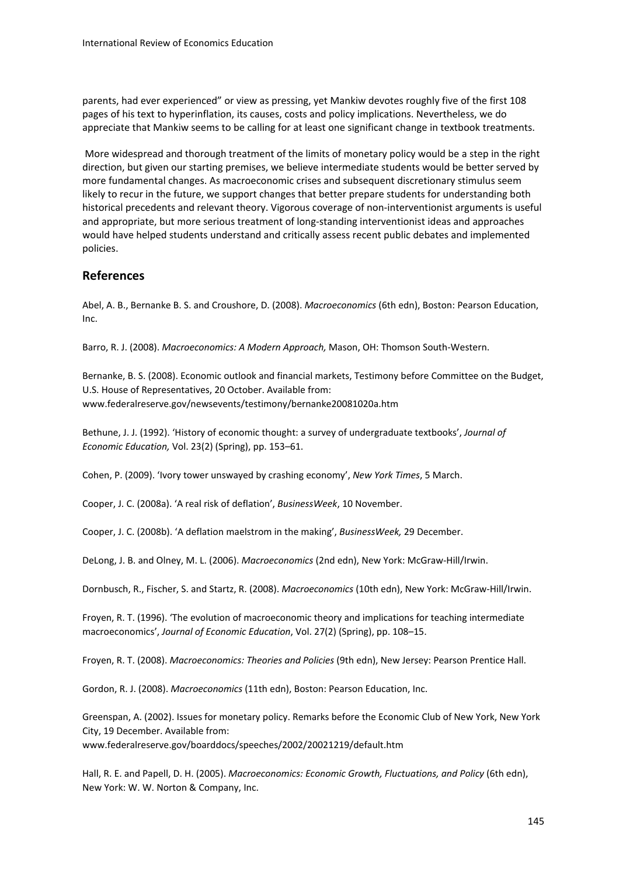parents, had ever experienced" or view as pressing, yet Mankiw devotes roughly five of the first 108 pages of his text to hyperinflation, its causes, costs and policy implications. Nevertheless, we do appreciate that Mankiw seems to be calling for at least one significant change in textbook treatments.

More widespread and thorough treatment of the limits of monetary policy would be a step in the right direction, but given our starting premises, we believe intermediate students would be better served by more fundamental changes. As macroeconomic crises and subsequent discretionary stimulus seem likely to recur in the future, we support changes that better prepare students for understanding both historical precedents and relevant theory. Vigorous coverage of non-interventionist arguments is useful and appropriate, but more serious treatment of long‐standing interventionist ideas and approaches would have helped students understand and critically assess recent public debates and implemented policies.

#### **References**

Abel, A. B., Bernanke B. S. and Croushore, D. (2008). *Macroeconomics* (6th edn), Boston: Pearson Education, Inc.

Barro, R. J. (2008). *Macroeconomics: A Modern Approach,* Mason, OH: Thomson South‐Western.

Bernanke, B. S. (2008). Economic outlook and financial markets, Testimony before Committee on the Budget, U.S. House of Representatives, 20 October. Available from: www.federalreserve.gov/newsevents/testimony/bernanke20081020a.htm

Bethune, J. J. (1992). 'History of economic thought: a survey of undergraduate textbooks', *Journal of Economic Education,* Vol. 23(2) (Spring), pp. 153–61.

Cohen, P. (2009). 'Ivory tower unswayed by crashing economy', *New York Times*, 5 March.

Cooper, J. C. (2008a). 'A real risk of deflation', *BusinessWeek*, 10 November.

Cooper, J. C. (2008b). 'A deflation maelstrom in the making', *BusinessWeek,* 29 December.

DeLong, J. B. and Olney, M. L. (2006). *Macroeconomics* (2nd edn), New York: McGraw‐Hill/Irwin.

Dornbusch, R., Fischer, S. and Startz, R. (2008). *Macroeconomics* (10th edn), New York: McGraw‐Hill/Irwin.

Froyen, R. T. (1996). 'The evolution of macroeconomic theory and implications for teaching intermediate macroeconomics', *Journal of Economic Education*, Vol. 27(2) (Spring), pp. 108–15.

Froyen, R. T. (2008). *Macroeconomics: Theories and Policies* (9th edn), New Jersey: Pearson Prentice Hall.

Gordon, R. J. (2008). *Macroeconomics* (11th edn), Boston: Pearson Education, Inc.

Greenspan, A. (2002). Issues for monetary policy. Remarks before the Economic Club of New York, New York City, 19 December. Available from:

www.federalreserve.gov/boarddocs/speeches/2002/20021219/default.htm

Hall, R. E. and Papell, D. H. (2005). *Macroeconomics: Economic Growth, Fluctuations, and Policy* (6th edn), New York: W. W. Norton & Company, Inc.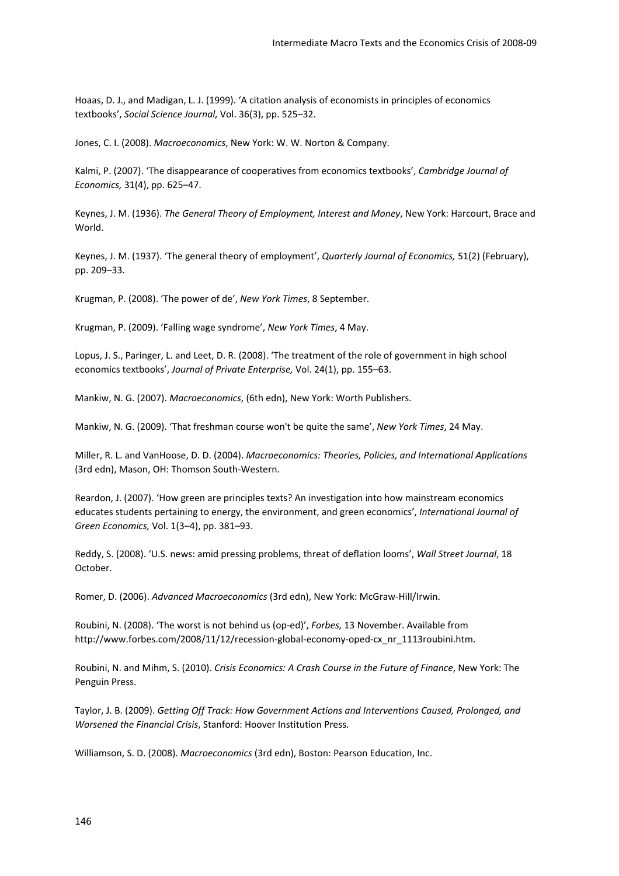Hoaas, D. J., and Madigan, L. J. (1999). 'A citation analysis of economists in principles of economics textbooks', *Social Science Journal,* Vol. 36(3), pp. 525–32.

Jones, C. I. (2008). *Macroeconomics*, New York: W. W. Norton & Company.

Kalmi, P. (2007). 'The disappearance of cooperatives from economics textbooks', *Cambridge Journal of Economics,* 31(4), pp. 625–47.

Keynes, J. M. (1936). *The General Theory of Employment, Interest and Money*, New York: Harcourt, Brace and World.

Keynes, J. M. (1937). 'The general theory of employment', *Quarterly Journal of Economics,* 51(2) (February), pp. 209–33.

Krugman, P. (2008). 'The power of de', *New York Times*, 8 September.

Krugman, P. (2009). 'Falling wage syndrome', *New York Times*, 4 May.

Lopus, J. S., Paringer, L. and Leet, D. R. (2008). 'The treatment of the role of government in high school economics textbooks', *Journal of Private Enterprise,* Vol. 24(1), pp. 155–63.

Mankiw, N. G. (2007). *Macroeconomics*, (6th edn), New York: Worth Publishers.

Mankiw, N. G. (2009). 'That freshman course won't be quite the same', *New York Times*, 24 May.

Miller, R. L. and VanHoose, D. D. (2004). *Macroeconomics: Theories, Policies, and International Applications* (3rd edn), Mason, OH: Thomson South‐Western.

Reardon, J. (2007). 'How green are principles texts? An investigation into how mainstream economics educates students pertaining to energy, the environment, and green economics', *International Journal of Green Economics,* Vol. 1(3–4), pp. 381–93.

Reddy, S. (2008). 'U.S. news: amid pressing problems, threat of deflation looms', *Wall Street Journal*, 18 October.

Romer, D. (2006). *Advanced Macroeconomics* (3rd edn), New York: McGraw‐Hill/Irwin.

Roubini, N. (2008). 'The worst is not behind us (op‐ed)', *Forbes,* 13 November. Available from http://www.forbes.com/2008/11/12/recession‐global‐economy‐oped‐cx\_nr\_1113roubini.htm.

Roubini, N. and Mihm, S. (2010). *Crisis Economics: A Crash Course in the Future of Finance*, New York: The Penguin Press.

Taylor, J. B. (2009). *Getting Off Track: How Government Actions and Interventions Caused, Prolonged, and Worsened the Financial Crisis*, Stanford: Hoover Institution Press.

Williamson, S. D. (2008). *Macroeconomics* (3rd edn), Boston: Pearson Education, Inc.